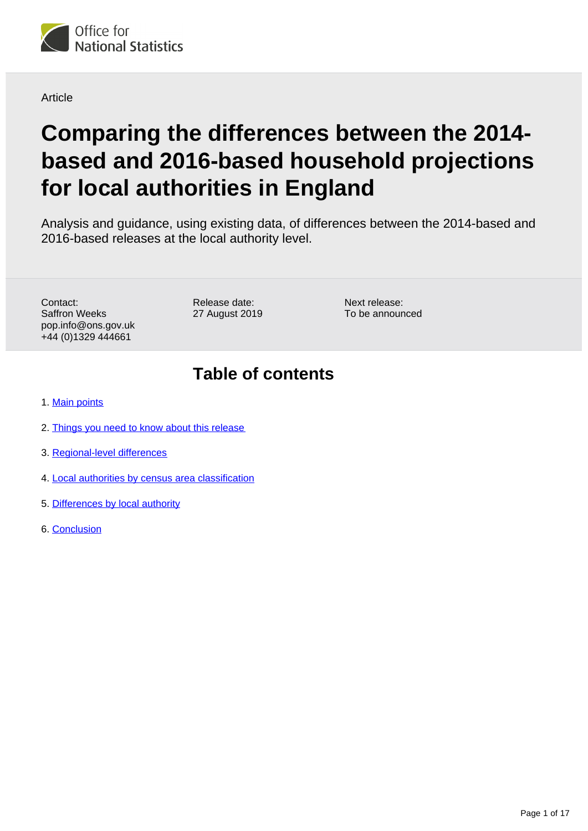<span id="page-0-0"></span>

Article

# **Comparing the differences between the 2014 based and 2016-based household projections for local authorities in England**

Analysis and guidance, using existing data, of differences between the 2014-based and 2016-based releases at the local authority level.

Contact: Saffron Weeks pop.info@ons.gov.uk +44 (0)1329 444661

Release date: 27 August 2019

Next release: To be announced

## **Table of contents**

- 1. [Main points](#page-1-0)
- 2. [Things you need to know about this release](#page-1-1)
- 3. [Regional-level differences](#page-5-0)
- 4. [Local authorities by census area classification](#page-7-0)
- 5. [Differences by local authority](#page-9-0)
- 6. [Conclusion](#page-16-0)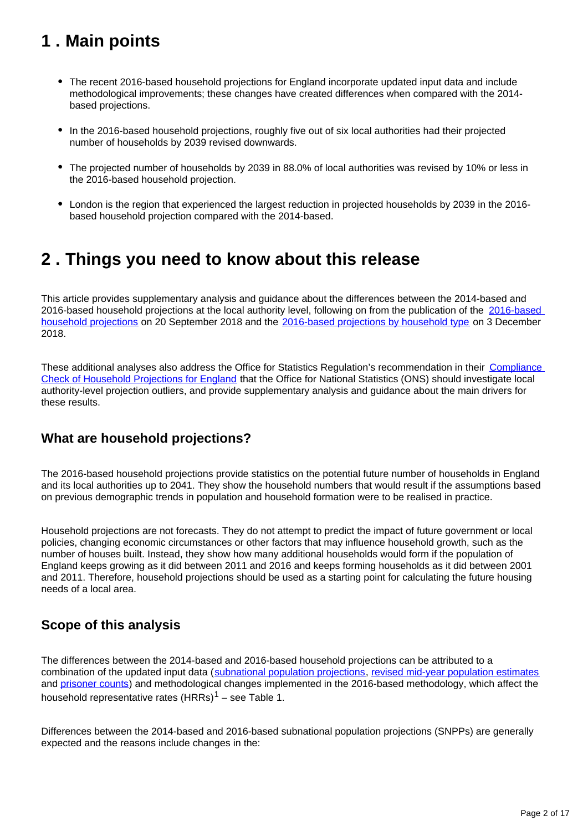## <span id="page-1-0"></span>**1 . Main points**

- The recent 2016-based household projections for England incorporate updated input data and include methodological improvements; these changes have created differences when compared with the 2014 based projections.
- In the 2016-based household projections, roughly five out of six local authorities had their projected number of households by 2039 revised downwards.
- The projected number of households by 2039 in 88.0% of local authorities was revised by 10% or less in the 2016-based household projection.
- London is the region that experienced the largest reduction in projected households by 2039 in the 2016 based household projection compared with the 2014-based.

## <span id="page-1-1"></span>**2 . Things you need to know about this release**

This article provides supplementary analysis and guidance about the differences between the 2014-based and 2016-based household projections at the local authority level, following on from the publication of the [2016-based](https://www.ons.gov.uk/peoplepopulationandcommunity/populationandmigration/populationprojections/bulletins/2016basedhouseholdprojectionsinengland/2016basedhouseholdprojectionsinengland)  [household projections](https://www.ons.gov.uk/peoplepopulationandcommunity/populationandmigration/populationprojections/bulletins/2016basedhouseholdprojectionsinengland/2016basedhouseholdprojectionsinengland) on 20 September 2018 and the [2016-based projections by household type](https://www.ons.gov.uk/peoplepopulationandcommunity/populationandmigration/populationprojections/bulletins/2016basedhouseholdprojectionsinengland/2016based) on 3 December 2018.

These additional analyses also address the Office for Statistics Regulation's recommendation in their [Compliance](https://www.statisticsauthority.gov.uk/correspondence/compliance-check-of-household-projections-for-england/)  [Check of Household Projections for England](https://www.statisticsauthority.gov.uk/correspondence/compliance-check-of-household-projections-for-england/) that the Office for National Statistics (ONS) should investigate local authority-level projection outliers, and provide supplementary analysis and guidance about the main drivers for these results.

### **What are household projections?**

The 2016-based household projections provide statistics on the potential future number of households in England and its local authorities up to 2041. They show the household numbers that would result if the assumptions based on previous demographic trends in population and household formation were to be realised in practice.

Household projections are not forecasts. They do not attempt to predict the impact of future government or local policies, changing economic circumstances or other factors that may influence household growth, such as the number of houses built. Instead, they show how many additional households would form if the population of England keeps growing as it did between 2011 and 2016 and keeps forming households as it did between 2001 and 2011. Therefore, household projections should be used as a starting point for calculating the future housing needs of a local area.

### **Scope of this analysis**

The differences between the 2014-based and 2016-based household projections can be attributed to a combination of the updated input data ([subnational population projections](https://www.ons.gov.uk/peoplepopulationandcommunity/populationandmigration/populationprojections/bulletins/subnationalpopulationprojectionsforengland/2016based), [revised mid-year population estimates](https://www.ons.gov.uk/peoplepopulationandcommunity/populationandmigration/populationestimates/bulletins/annualmidyearpopulationestimates/mid2012tomid2016) and [prisoner counts\)](https://www.gov.uk/government/collections/offender-management-statistics-quarterly) and methodological changes implemented in the 2016-based methodology, which affect the household representative rates  $(HRRs)^{1}$  – see Table 1.

Differences between the 2014-based and 2016-based subnational population projections (SNPPs) are generally expected and the reasons include changes in the: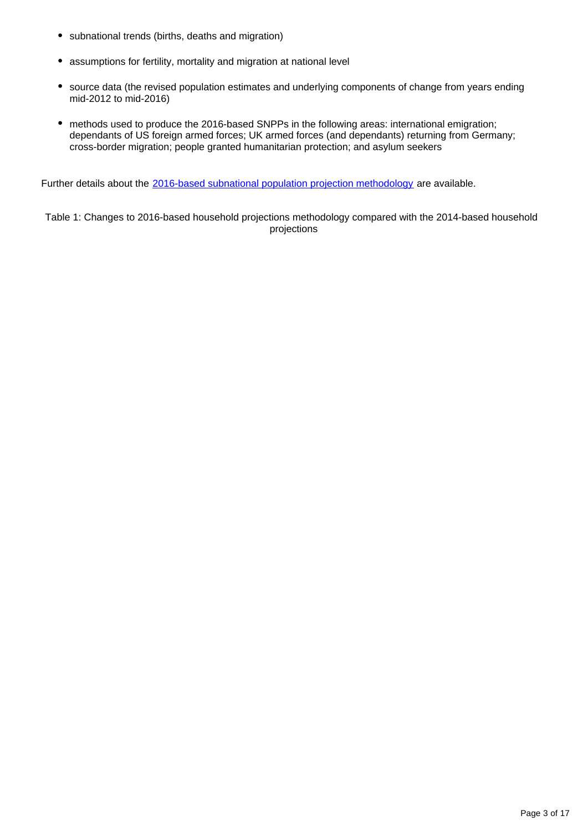- subnational trends (births, deaths and migration)
- assumptions for fertility, mortality and migration at national level
- source data (the revised population estimates and underlying components of change from years ending mid-2012 to mid-2016)
- methods used to produce the 2016-based SNPPs in the following areas: international emigration; dependants of US foreign armed forces; UK armed forces (and dependants) returning from Germany; cross-border migration; people granted humanitarian protection; and asylum seekers

Further details about the [2016-based subnational population projection methodology](https://www.ons.gov.uk/peoplepopulationandcommunity/populationandmigration/populationprojections/methodologies/methodologyusedtoproducethe2016basedsubnationalpopulationprojectionsforengland) are available.

Table 1: Changes to 2016-based household projections methodology compared with the 2014-based household projections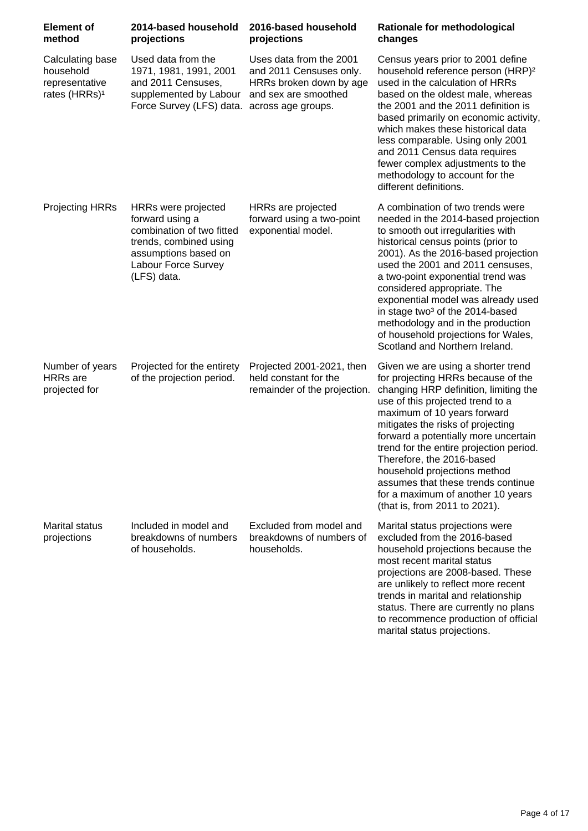| <b>Element of</b><br>method                                                  | 2014-based household<br>projections                                                                                                                         | 2016-based household<br>projections                                                                                         | Rationale for methodological<br>changes                                                                                                                                                                                                                                                                                                                                                                                                                                                              |
|------------------------------------------------------------------------------|-------------------------------------------------------------------------------------------------------------------------------------------------------------|-----------------------------------------------------------------------------------------------------------------------------|------------------------------------------------------------------------------------------------------------------------------------------------------------------------------------------------------------------------------------------------------------------------------------------------------------------------------------------------------------------------------------------------------------------------------------------------------------------------------------------------------|
| Calculating base<br>household<br>representative<br>rates (HRRs) <sup>1</sup> | Used data from the<br>1971, 1981, 1991, 2001<br>and 2011 Censuses,<br>supplemented by Labour<br>Force Survey (LFS) data.                                    | Uses data from the 2001<br>and 2011 Censuses only.<br>HRRs broken down by age<br>and sex are smoothed<br>across age groups. | Census years prior to 2001 define<br>household reference person (HRP) <sup>2</sup><br>used in the calculation of HRRs<br>based on the oldest male, whereas<br>the 2001 and the 2011 definition is<br>based primarily on economic activity,<br>which makes these historical data<br>less comparable. Using only 2001<br>and 2011 Census data requires<br>fewer complex adjustments to the<br>methodology to account for the<br>different definitions.                                                 |
| <b>Projecting HRRs</b>                                                       | HRRs were projected<br>forward using a<br>combination of two fitted<br>trends, combined using<br>assumptions based on<br>Labour Force Survey<br>(LFS) data. | HRRs are projected<br>forward using a two-point<br>exponential model.                                                       | A combination of two trends were<br>needed in the 2014-based projection<br>to smooth out irregularities with<br>historical census points (prior to<br>2001). As the 2016-based projection<br>used the 2001 and 2011 censuses,<br>a two-point exponential trend was<br>considered appropriate. The<br>exponential model was already used<br>in stage two <sup>3</sup> of the 2014-based<br>methodology and in the production<br>of household projections for Wales,<br>Scotland and Northern Ireland. |
| Number of years<br><b>HRRs</b> are<br>projected for                          | Projected for the entirety<br>of the projection period.                                                                                                     | Projected 2001-2021, then<br>held constant for the<br>remainder of the projection.                                          | Given we are using a shorter trend<br>for projecting HRRs because of the<br>changing HRP definition, limiting the<br>use of this projected trend to a<br>maximum of 10 years forward<br>mitigates the risks of projecting<br>forward a potentially more uncertain<br>trend for the entire projection period.<br>Therefore, the 2016-based<br>household projections method<br>assumes that these trends continue<br>for a maximum of another 10 years<br>(that is, from 2011 to 2021).                |
| <b>Marital status</b><br>projections                                         | Included in model and<br>breakdowns of numbers<br>of households.                                                                                            | Excluded from model and<br>breakdowns of numbers of<br>households.                                                          | Marital status projections were<br>excluded from the 2016-based<br>household projections because the<br>most recent marital status<br>projections are 2008-based. These<br>are unlikely to reflect more recent<br>trends in marital and relationship<br>status. There are currently no plans<br>to recommence production of official<br>marital status projections.                                                                                                                                  |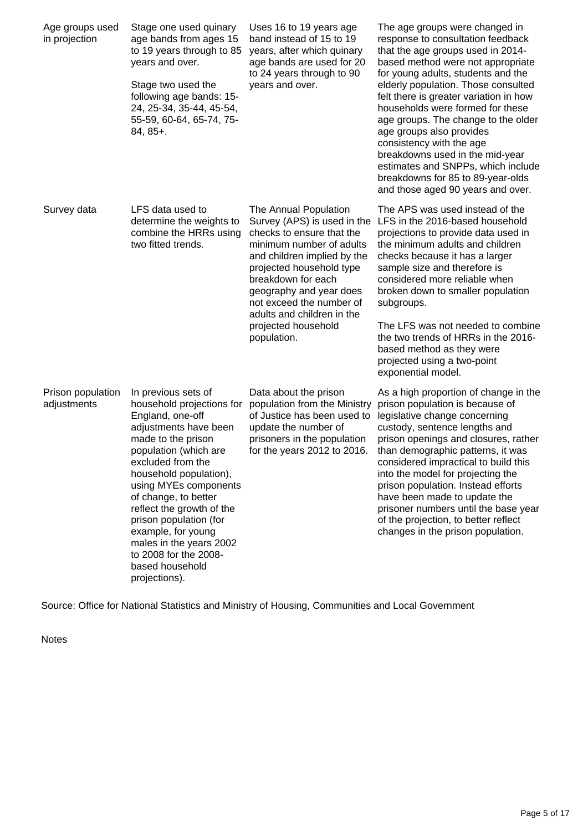| Age groups used<br>in projection | Stage one used quinary<br>age bands from ages 15<br>to 19 years through to 85<br>years and over.<br>Stage two used the<br>following age bands: 15-<br>24, 25-34, 35-44, 45-54,<br>55-59, 60-64, 65-74, 75-<br>84, 85+.                                                                                                                                                                                            | Uses 16 to 19 years age<br>band instead of 15 to 19<br>years, after which quinary<br>age bands are used for 20<br>to 24 years through to 90<br>years and over.                                                                                                                                                            | The age groups were changed in<br>response to consultation feedback<br>that the age groups used in 2014-<br>based method were not appropriate<br>for young adults, students and the<br>elderly population. Those consulted<br>felt there is greater variation in how<br>households were formed for these<br>age groups. The change to the older<br>age groups also provides<br>consistency with the age<br>breakdowns used in the mid-year<br>estimates and SNPPs, which include<br>breakdowns for 85 to 89-year-olds<br>and those aged 90 years and over. |
|----------------------------------|-------------------------------------------------------------------------------------------------------------------------------------------------------------------------------------------------------------------------------------------------------------------------------------------------------------------------------------------------------------------------------------------------------------------|---------------------------------------------------------------------------------------------------------------------------------------------------------------------------------------------------------------------------------------------------------------------------------------------------------------------------|------------------------------------------------------------------------------------------------------------------------------------------------------------------------------------------------------------------------------------------------------------------------------------------------------------------------------------------------------------------------------------------------------------------------------------------------------------------------------------------------------------------------------------------------------------|
| Survey data                      | LFS data used to<br>determine the weights to<br>combine the HRRs using<br>two fitted trends.                                                                                                                                                                                                                                                                                                                      | The Annual Population<br>Survey (APS) is used in the<br>checks to ensure that the<br>minimum number of adults<br>and children implied by the<br>projected household type<br>breakdown for each<br>geography and year does<br>not exceed the number of<br>adults and children in the<br>projected household<br>population. | The APS was used instead of the<br>LFS in the 2016-based household<br>projections to provide data used in<br>the minimum adults and children<br>checks because it has a larger<br>sample size and therefore is<br>considered more reliable when<br>broken down to smaller population<br>subgroups.<br>The LFS was not needed to combine<br>the two trends of HRRs in the 2016-<br>based method as they were<br>projected using a two-point                                                                                                                 |
| Prison population<br>adjustments | In previous sets of<br>household projections for<br>England, one-off<br>adjustments have been<br>made to the prison<br>population (which are<br>excluded from the<br>household population),<br>using MYEs components<br>of change, to better<br>reflect the growth of the<br>prison population (for<br>example, for young<br>males in the years 2002<br>to 2008 for the 2008-<br>based household<br>projections). | Data about the prison<br>population from the Ministry<br>of Justice has been used to<br>update the number of<br>prisoners in the population<br>for the years 2012 to 2016.                                                                                                                                                | exponential model.<br>As a high proportion of change in the<br>prison population is because of<br>legislative change concerning<br>custody, sentence lengths and<br>prison openings and closures, rather<br>than demographic patterns, it was<br>considered impractical to build this<br>into the model for projecting the<br>prison population. Instead efforts<br>have been made to update the<br>prisoner numbers until the base year<br>of the projection, to better reflect<br>changes in the prison population.                                      |

Source: Office for National Statistics and Ministry of Housing, Communities and Local Government

Notes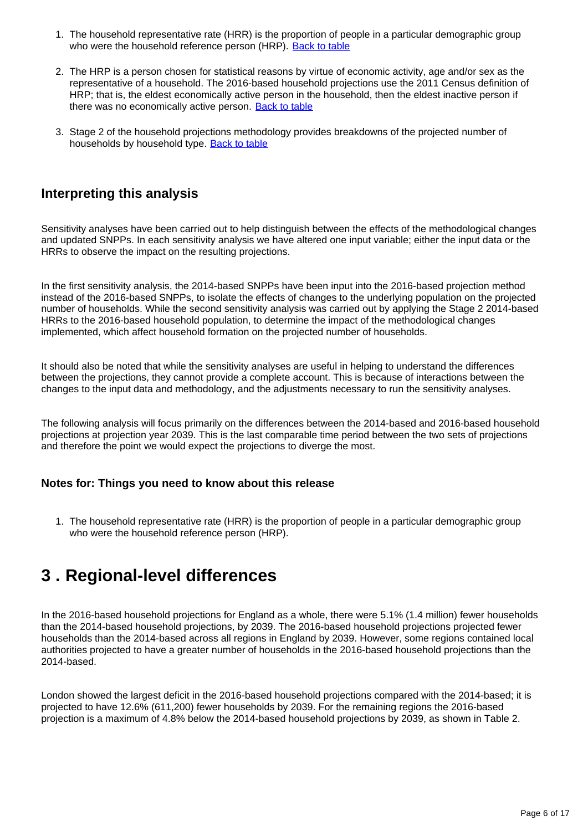- 1. The household representative rate (HRR) is the proportion of people in a particular demographic group who were the household reference person (HRP). [Back to table](#page-0-0)
- 2. The HRP is a person chosen for statistical reasons by virtue of economic activity, age and/or sex as the representative of a household. The 2016-based household projections use the 2011 Census definition of HRP; that is, the eldest economically active person in the household, then the eldest inactive person if there was no economically active person. [Back to table](#page-0-0)
- 3. Stage 2 of the household projections methodology provides breakdowns of the projected number of households by household type. [Back to table](#page-0-0)

### **Interpreting this analysis**

Sensitivity analyses have been carried out to help distinguish between the effects of the methodological changes and updated SNPPs. In each sensitivity analysis we have altered one input variable; either the input data or the HRRs to observe the impact on the resulting projections.

In the first sensitivity analysis, the 2014-based SNPPs have been input into the 2016-based projection method instead of the 2016-based SNPPs, to isolate the effects of changes to the underlying population on the projected number of households. While the second sensitivity analysis was carried out by applying the Stage 2 2014-based HRRs to the 2016-based household population, to determine the impact of the methodological changes implemented, which affect household formation on the projected number of households.

It should also be noted that while the sensitivity analyses are useful in helping to understand the differences between the projections, they cannot provide a complete account. This is because of interactions between the changes to the input data and methodology, and the adjustments necessary to run the sensitivity analyses.

The following analysis will focus primarily on the differences between the 2014-based and 2016-based household projections at projection year 2039. This is the last comparable time period between the two sets of projections and therefore the point we would expect the projections to diverge the most.

#### **Notes for: Things you need to know about this release**

1. The household representative rate (HRR) is the proportion of people in a particular demographic group who were the household reference person (HRP).

## <span id="page-5-0"></span>**3 . Regional-level differences**

In the 2016-based household projections for England as a whole, there were 5.1% (1.4 million) fewer households than the 2014-based household projections, by 2039. The 2016-based household projections projected fewer households than the 2014-based across all regions in England by 2039. However, some regions contained local authorities projected to have a greater number of households in the 2016-based household projections than the 2014-based.

London showed the largest deficit in the 2016-based household projections compared with the 2014-based; it is projected to have 12.6% (611,200) fewer households by 2039. For the remaining regions the 2016-based projection is a maximum of 4.8% below the 2014-based household projections by 2039, as shown in Table 2.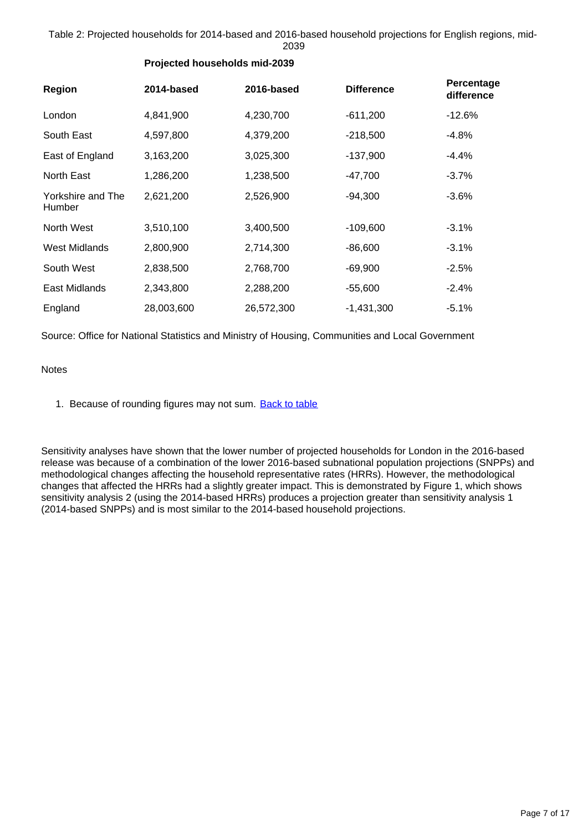Table 2: Projected households for 2014-based and 2016-based household projections for English regions, mid-2039

| Region                      | 2014-based | 2016-based | <b>Difference</b> | Percentage<br>difference |
|-----------------------------|------------|------------|-------------------|--------------------------|
| London                      | 4,841,900  | 4,230,700  | $-611,200$        | $-12.6%$                 |
| South East                  | 4,597,800  | 4,379,200  | $-218,500$        | $-4.8%$                  |
| East of England             | 3,163,200  | 3,025,300  | $-137,900$        | $-4.4%$                  |
| North East                  | 1,286,200  | 1,238,500  | $-47,700$         | $-3.7%$                  |
| Yorkshire and The<br>Humber | 2,621,200  | 2,526,900  | $-94,300$         | $-3.6%$                  |
| North West                  | 3,510,100  | 3,400,500  | $-109,600$        | $-3.1%$                  |
| <b>West Midlands</b>        | 2,800,900  | 2,714,300  | $-86,600$         | $-3.1%$                  |
| South West                  | 2,838,500  | 2,768,700  | $-69,900$         | $-2.5%$                  |

#### **Projected households mid-2039**

Source: Office for National Statistics and Ministry of Housing, Communities and Local Government

East Midlands 2,343,800 2,288,200 -55,600 -2.4%

England 28,003,600 26,572,300 -1,431,300 -5.1%

Notes

1. Because of rounding figures may not sum. [Back to table](#page-0-0)

Sensitivity analyses have shown that the lower number of projected households for London in the 2016-based release was because of a combination of the lower 2016-based subnational population projections (SNPPs) and methodological changes affecting the household representative rates (HRRs). However, the methodological changes that affected the HRRs had a slightly greater impact. This is demonstrated by Figure 1, which shows sensitivity analysis 2 (using the 2014-based HRRs) produces a projection greater than sensitivity analysis 1 (2014-based SNPPs) and is most similar to the 2014-based household projections.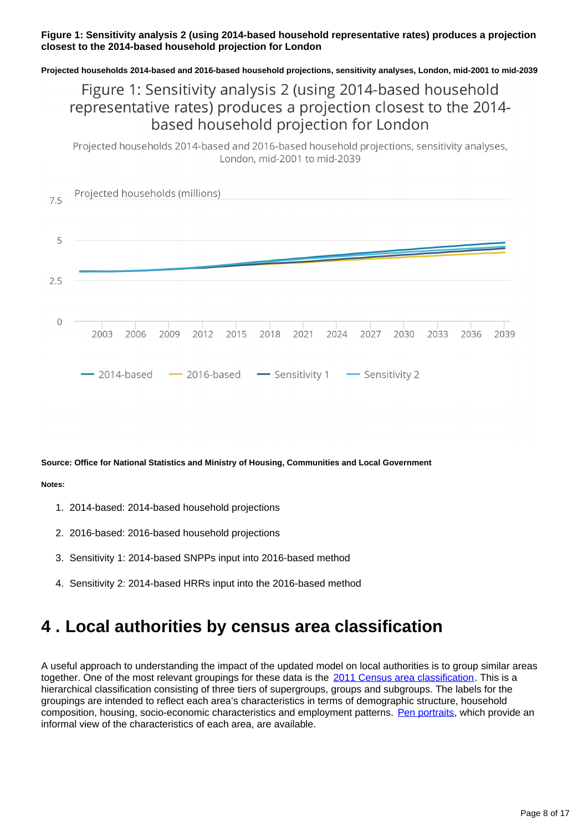#### **Figure 1: Sensitivity analysis 2 (using 2014-based household representative rates) produces a projection closest to the 2014-based household projection for London**

**Projected households 2014-based and 2016-based household projections, sensitivity analyses, London, mid-2001 to mid-2039**

### Figure 1: Sensitivity analysis 2 (using 2014-based household representative rates) produces a projection closest to the 2014based household projection for London

Projected households 2014-based and 2016-based household projections, sensitivity analyses, London, mid-2001 to mid-2039



**Source: Office for National Statistics and Ministry of Housing, Communities and Local Government**

#### **Notes:**

- 1. 2014-based: 2014-based household projections
- 2. 2016-based: 2016-based household projections
- 3. Sensitivity 1: 2014-based SNPPs input into 2016-based method
- 4. Sensitivity 2: 2014-based HRRs input into the 2016-based method

## <span id="page-7-0"></span>**4 . Local authorities by census area classification**

A useful approach to understanding the impact of the updated model on local authorities is to group similar areas together. One of the most relevant groupings for these data is the [2011 Census area classification.](https://www.ons.gov.uk/methodology/geography/geographicalproducts/areaclassifications/2011areaclassifications) This is a hierarchical classification consisting of three tiers of supergroups, groups and subgroups. The labels for the groupings are intended to reflect each area's characteristics in terms of demographic structure, household composition, housing, socio-economic characteristics and employment patterns. [Pen portraits](https://www.ons.gov.uk/methodology/geography/geographicalproducts/areaclassifications/2011areaclassifications/penportraitsandradialplots), which provide an informal view of the characteristics of each area, are available.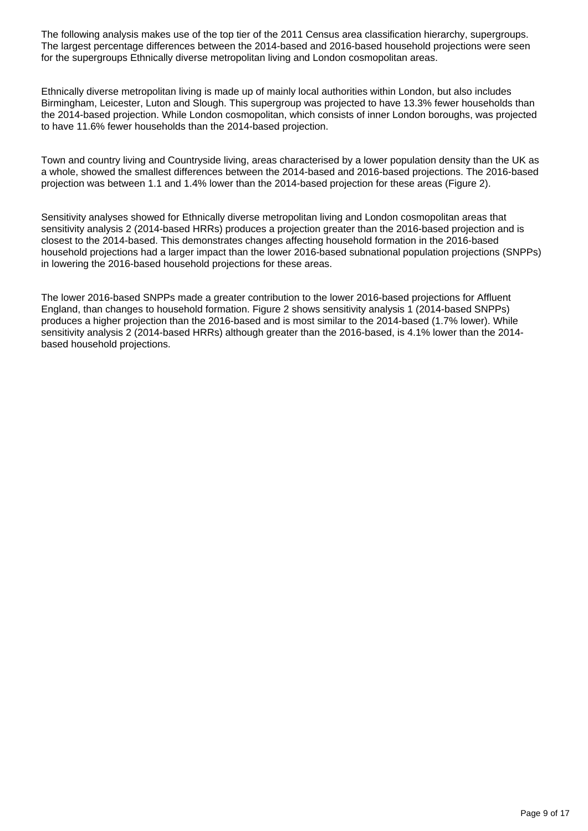The following analysis makes use of the top tier of the 2011 Census area classification hierarchy, supergroups. The largest percentage differences between the 2014-based and 2016-based household projections were seen for the supergroups Ethnically diverse metropolitan living and London cosmopolitan areas.

Ethnically diverse metropolitan living is made up of mainly local authorities within London, but also includes Birmingham, Leicester, Luton and Slough. This supergroup was projected to have 13.3% fewer households than the 2014-based projection. While London cosmopolitan, which consists of inner London boroughs, was projected to have 11.6% fewer households than the 2014-based projection.

Town and country living and Countryside living, areas characterised by a lower population density than the UK as a whole, showed the smallest differences between the 2014-based and 2016-based projections. The 2016-based projection was between 1.1 and 1.4% lower than the 2014-based projection for these areas (Figure 2).

Sensitivity analyses showed for Ethnically diverse metropolitan living and London cosmopolitan areas that sensitivity analysis 2 (2014-based HRRs) produces a projection greater than the 2016-based projection and is closest to the 2014-based. This demonstrates changes affecting household formation in the 2016-based household projections had a larger impact than the lower 2016-based subnational population projections (SNPPs) in lowering the 2016-based household projections for these areas.

The lower 2016-based SNPPs made a greater contribution to the lower 2016-based projections for Affluent England, than changes to household formation. Figure 2 shows sensitivity analysis 1 (2014-based SNPPs) produces a higher projection than the 2016-based and is most similar to the 2014-based (1.7% lower). While sensitivity analysis 2 (2014-based HRRs) although greater than the 2016-based, is 4.1% lower than the 2014based household projections.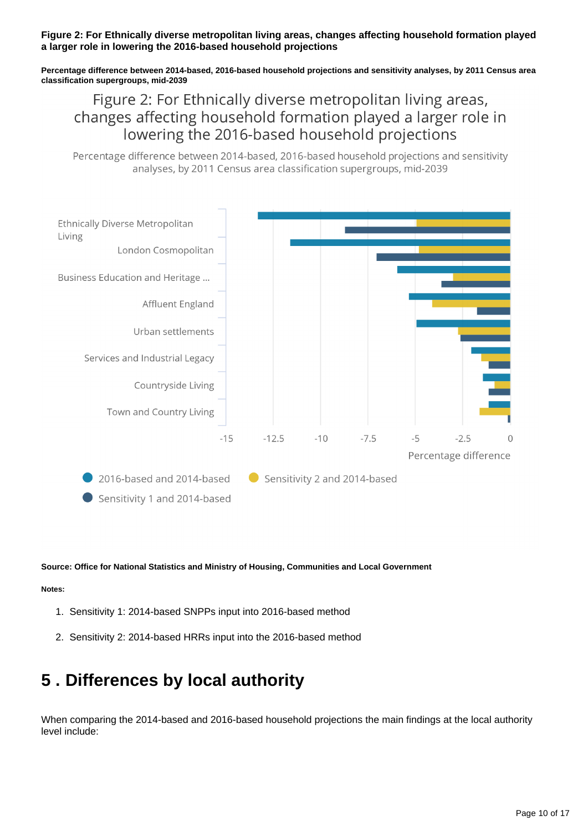#### **Figure 2: For Ethnically diverse metropolitan living areas, changes affecting household formation played a larger role in lowering the 2016-based household projections**

**Percentage difference between 2014-based, 2016-based household projections and sensitivity analyses, by 2011 Census area classification supergroups, mid-2039**

Figure 2: For Ethnically diverse metropolitan living areas, changes affecting household formation played a larger role in lowering the 2016-based household projections

Percentage difference between 2014-based, 2016-based household projections and sensitivity analyses, by 2011 Census area classification supergroups, mid-2039



#### **Source: Office for National Statistics and Ministry of Housing, Communities and Local Government**

#### **Notes:**

- 1. Sensitivity 1: 2014-based SNPPs input into 2016-based method
- 2. Sensitivity 2: 2014-based HRRs input into the 2016-based method

## <span id="page-9-0"></span>**5 . Differences by local authority**

When comparing the 2014-based and 2016-based household projections the main findings at the local authority level include: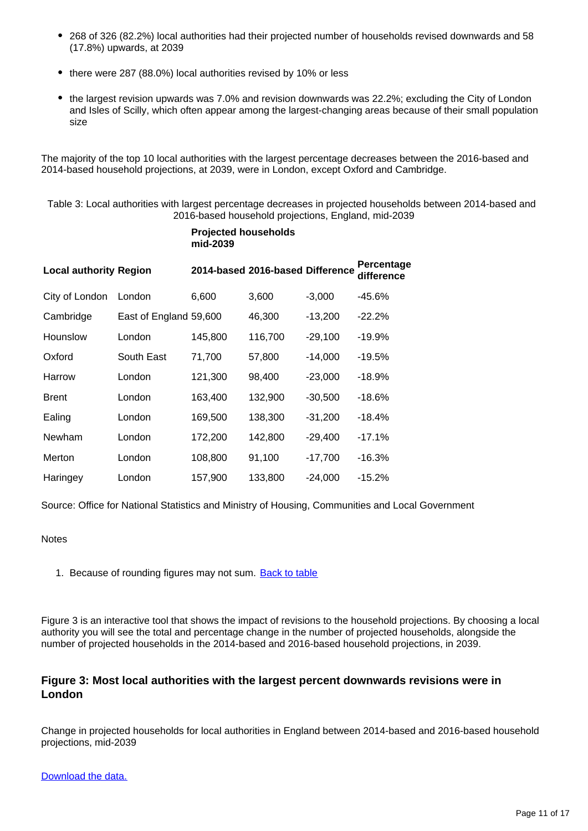- 268 of 326 (82.2%) local authorities had their projected number of households revised downwards and 58 (17.8%) upwards, at 2039
- there were 287 (88.0%) local authorities revised by 10% or less
- the largest revision upwards was 7.0% and revision downwards was 22.2%; excluding the City of London and Isles of Scilly, which often appear among the largest-changing areas because of their small population size

The majority of the top 10 local authorities with the largest percentage decreases between the 2016-based and 2014-based household projections, at 2039, were in London, except Oxford and Cambridge.

Table 3: Local authorities with largest percentage decreases in projected households between 2014-based and 2016-based household projections, England, mid-2039

|                               |                        | mid-2039 |                                  |           |                          |
|-------------------------------|------------------------|----------|----------------------------------|-----------|--------------------------|
| <b>Local authority Region</b> |                        |          | 2014-based 2016-based Difference |           | Percentage<br>difference |
| City of London                | London                 | 6,600    | 3,600                            | $-3,000$  | $-45.6%$                 |
| Cambridge                     | East of England 59,600 |          | 46,300                           | $-13,200$ | $-22.2%$                 |
| Hounslow                      | London                 | 145,800  | 116,700                          | $-29,100$ | $-19.9%$                 |
| Oxford                        | South East             | 71,700   | 57,800                           | $-14,000$ | $-19.5%$                 |
| Harrow                        | London                 | 121,300  | 98,400                           | $-23,000$ | $-18.9%$                 |
| <b>Brent</b>                  | London                 | 163,400  | 132,900                          | $-30,500$ | $-18.6%$                 |
| Ealing                        | London                 | 169,500  | 138,300                          | $-31,200$ | $-18.4%$                 |
| Newham                        | London                 | 172,200  | 142,800                          | $-29,400$ | $-17.1%$                 |
| Merton                        | London                 | 108,800  | 91,100                           | $-17,700$ | $-16.3%$                 |
| Haringey                      | London                 | 157,900  | 133,800                          | $-24,000$ | $-15.2%$                 |

**Projected households**

Source: Office for National Statistics and Ministry of Housing, Communities and Local Government

**Notes** 

1. Because of rounding figures may not sum. [Back to table](#page-0-0)

Figure 3 is an interactive tool that shows the impact of revisions to the household projections. By choosing a local authority you will see the total and percentage change in the number of projected households, alongside the number of projected households in the 2014-based and 2016-based household projections, in 2039.

#### **Figure 3: Most local authorities with the largest percent downwards revisions were in London**

Change in projected households for local authorities in England between 2014-based and 2016-based household projections, mid-2039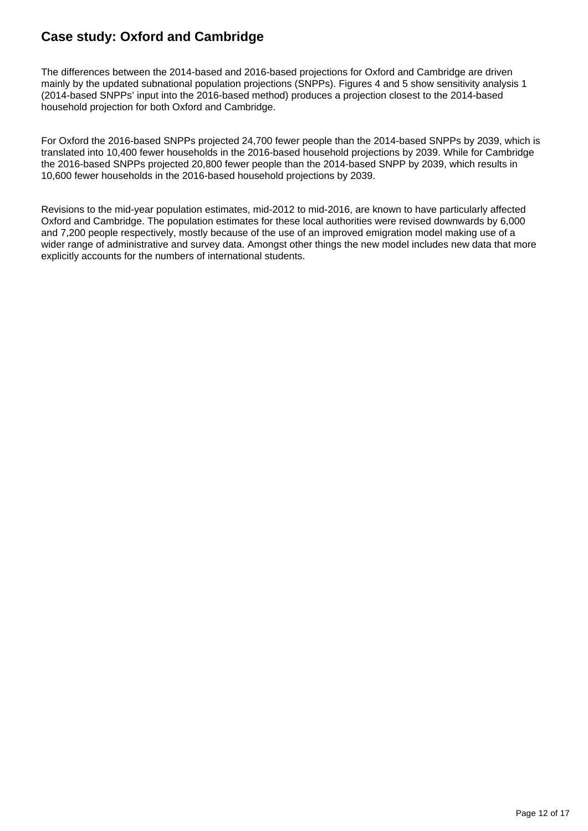### **Case study: Oxford and Cambridge**

The differences between the 2014-based and 2016-based projections for Oxford and Cambridge are driven mainly by the updated subnational population projections (SNPPs). Figures 4 and 5 show sensitivity analysis 1 (2014-based SNPPs' input into the 2016-based method) produces a projection closest to the 2014-based household projection for both Oxford and Cambridge.

For Oxford the 2016-based SNPPs projected 24,700 fewer people than the 2014-based SNPPs by 2039, which is translated into 10,400 fewer households in the 2016-based household projections by 2039. While for Cambridge the 2016-based SNPPs projected 20,800 fewer people than the 2014-based SNPP by 2039, which results in 10,600 fewer households in the 2016-based household projections by 2039.

Revisions to the mid-year population estimates, mid-2012 to mid-2016, are known to have particularly affected Oxford and Cambridge. The population estimates for these local authorities were revised downwards by 6,000 and 7,200 people respectively, mostly because of the use of an improved emigration model making use of a wider range of administrative and survey data. Amongst other things the new model includes new data that more explicitly accounts for the numbers of international students.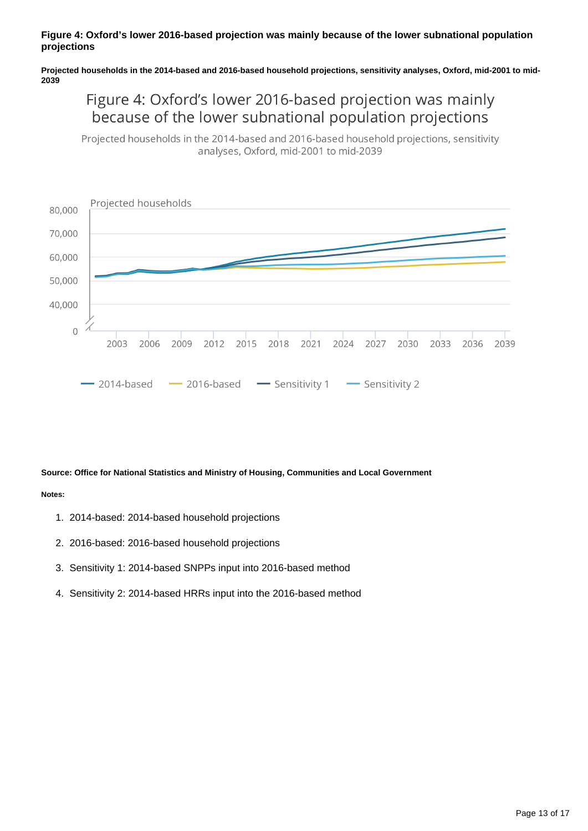#### **Figure 4: Oxford's lower 2016-based projection was mainly because of the lower subnational population projections**

**Projected households in the 2014-based and 2016-based household projections, sensitivity analyses, Oxford, mid-2001 to mid-2039**

### Figure 4: Oxford's lower 2016-based projection was mainly because of the lower subnational population projections

Projected households in the 2014-based and 2016-based household projections, sensitivity analyses, Oxford, mid-2001 to mid-2039



#### **Source: Office for National Statistics and Ministry of Housing, Communities and Local Government**

#### **Notes:**

- 1. 2014-based: 2014-based household projections
- 2. 2016-based: 2016-based household projections
- 3. Sensitivity 1: 2014-based SNPPs input into 2016-based method
- 4. Sensitivity 2: 2014-based HRRs input into the 2016-based method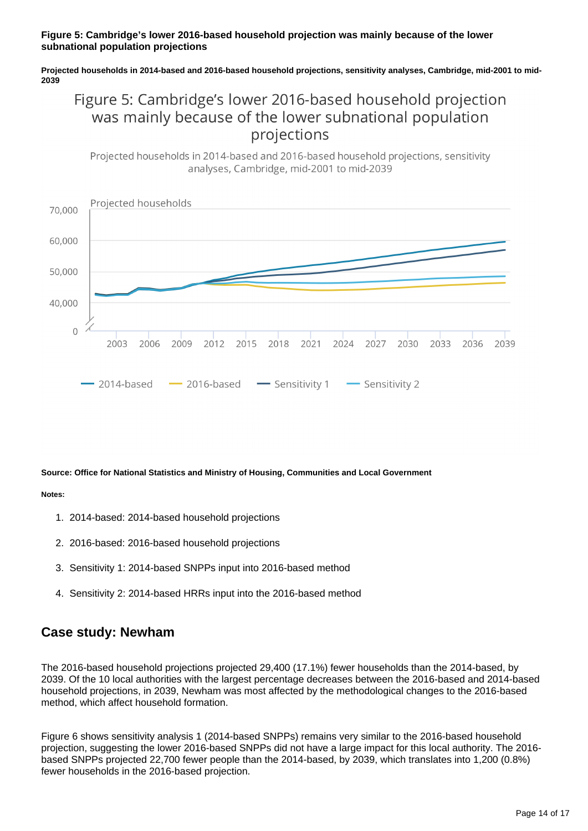#### **Figure 5: Cambridge's lower 2016-based household projection was mainly because of the lower subnational population projections**

**Projected households in 2014-based and 2016-based household projections, sensitivity analyses, Cambridge, mid-2001 to mid-2039**

### Figure 5: Cambridge's lower 2016-based household projection was mainly because of the lower subnational population projections

Projected households in 2014-based and 2016-based household projections, sensitivity analyses, Cambridge, mid-2001 to mid-2039



#### **Source: Office for National Statistics and Ministry of Housing, Communities and Local Government**

#### **Notes:**

- 1. 2014-based: 2014-based household projections
- 2. 2016-based: 2016-based household projections
- 3. Sensitivity 1: 2014-based SNPPs input into 2016-based method
- 4. Sensitivity 2: 2014-based HRRs input into the 2016-based method

### **Case study: Newham**

The 2016-based household projections projected 29,400 (17.1%) fewer households than the 2014-based, by 2039. Of the 10 local authorities with the largest percentage decreases between the 2016-based and 2014-based household projections, in 2039, Newham was most affected by the methodological changes to the 2016-based method, which affect household formation.

Figure 6 shows sensitivity analysis 1 (2014-based SNPPs) remains very similar to the 2016-based household projection, suggesting the lower 2016-based SNPPs did not have a large impact for this local authority. The 2016 based SNPPs projected 22,700 fewer people than the 2014-based, by 2039, which translates into 1,200 (0.8%) fewer households in the 2016-based projection.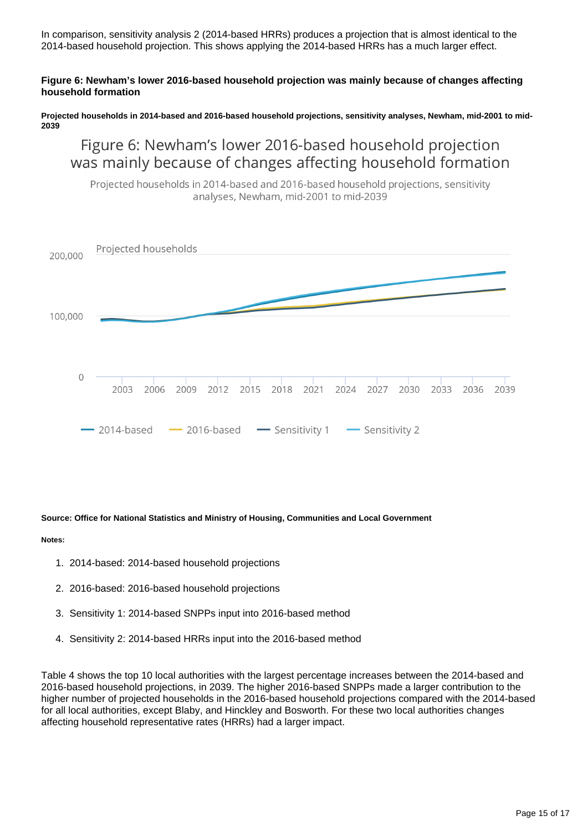In comparison, sensitivity analysis 2 (2014-based HRRs) produces a projection that is almost identical to the 2014-based household projection. This shows applying the 2014-based HRRs has a much larger effect.

#### **Figure 6: Newham's lower 2016-based household projection was mainly because of changes affecting household formation**

**Projected households in 2014-based and 2016-based household projections, sensitivity analyses, Newham, mid-2001 to mid-2039**

### Figure 6: Newham's lower 2016-based household projection was mainly because of changes affecting household formation

Projected households in 2014-based and 2016-based household projections, sensitivity analyses, Newham, mid-2001 to mid-2039



#### **Source: Office for National Statistics and Ministry of Housing, Communities and Local Government**

#### **Notes:**

- 1. 2014-based: 2014-based household projections
- 2. 2016-based: 2016-based household projections
- 3. Sensitivity 1: 2014-based SNPPs input into 2016-based method
- 4. Sensitivity 2: 2014-based HRRs input into the 2016-based method

Table 4 shows the top 10 local authorities with the largest percentage increases between the 2014-based and 2016-based household projections, in 2039. The higher 2016-based SNPPs made a larger contribution to the higher number of projected households in the 2016-based household projections compared with the 2014-based for all local authorities, except Blaby, and Hinckley and Bosworth. For these two local authorities changes affecting household representative rates (HRRs) had a larger impact.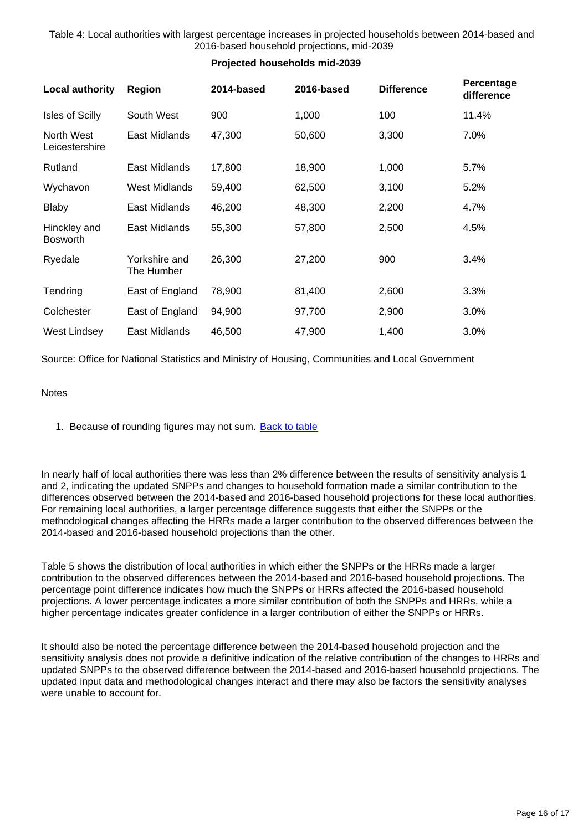Table 4: Local authorities with largest percentage increases in projected households between 2014-based and 2016-based household projections, mid-2039

**Projected households mid-2039**

### **Local authority Region 2014-based 2016-based Difference Percentage difference** Isles of Scilly South West 900 100 100 11.4% North West Leicestershire East Midlands 47,300 50,600 3,300 7.0% Rutland East Midlands 17,800 18,900 1,000 5.7% Wychavon West Midlands 59,400 62,500 3,100 5.2% Blaby **East Midlands** 46,200 48,300 2,200 4.7% Hinckley and Bosworth East Midlands 55,300 57,800 2,500 4.5% Ryedale Yorkshire and The Humber 26,300 27,200 900 3.4% Tendring East of England 78,900 81,400 2,600 3.3% Colchester East of England 94,900 97,700 2,900 3.0% West Lindsey East Midlands 46,500 47,900 1,400 3.0%

Source: Office for National Statistics and Ministry of Housing, Communities and Local Government

#### **Notes**

1. Because of rounding figures may not sum. [Back to table](#page-0-0)

In nearly half of local authorities there was less than 2% difference between the results of sensitivity analysis 1 and 2, indicating the updated SNPPs and changes to household formation made a similar contribution to the differences observed between the 2014-based and 2016-based household projections for these local authorities. For remaining local authorities, a larger percentage difference suggests that either the SNPPs or the methodological changes affecting the HRRs made a larger contribution to the observed differences between the 2014-based and 2016-based household projections than the other.

Table 5 shows the distribution of local authorities in which either the SNPPs or the HRRs made a larger contribution to the observed differences between the 2014-based and 2016-based household projections. The percentage point difference indicates how much the SNPPs or HRRs affected the 2016-based household projections. A lower percentage indicates a more similar contribution of both the SNPPs and HRRs, while a higher percentage indicates greater confidence in a larger contribution of either the SNPPs or HRRs.

It should also be noted the percentage difference between the 2014-based household projection and the sensitivity analysis does not provide a definitive indication of the relative contribution of the changes to HRRs and updated SNPPs to the observed difference between the 2014-based and 2016-based household projections. The updated input data and methodological changes interact and there may also be factors the sensitivity analyses were unable to account for.